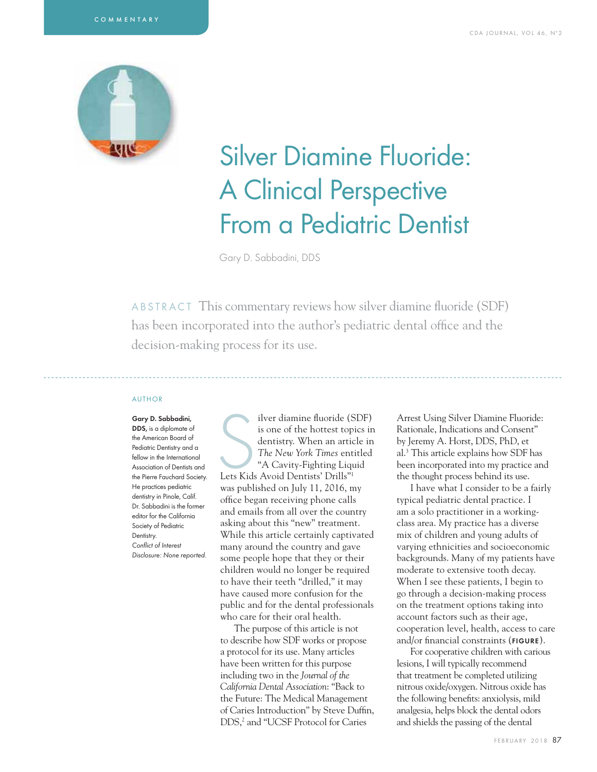

# Silver Diamine Fluoride: A Clinical Perspective From a Pediatric Dentist

Gary D. Sabbadini, DDS

ABSTRACT This commentary reviews how silver diamine fluoride (SDF) has been incorporated into the author's pediatric dental office and the decision-making process for its use.

#### AUTHOR

Gary D. Sabbadini, DDS, is a diplomate of the American Board of Pediatric Dentistry and a fellow in the International Association of Dentists and the Pierre Fauchard Society. He practices pediatric dentistry in Pinole, Calif. Dr. Sabbadini is the former editor for the California Society of Pediatric Dentistry. Conflict of Interest Disclosure: None reported.

ilver diamine fluoride (S<br>
is one of the hottest top<br>
dentistry. When an artic<br>
The New York Times ent<br>
"A Cavity-Fighting Liquest" A Cavity-Fighting Liquest" ilver diamine fluoride (SDF) is one of the hottest topics in dentistry. When an article in *The New York Times* entitled "A Cavity-Fighting Liquid was published on July 11, 2016, my office began receiving phone calls and emails from all over the country asking about this "new" treatment. While this article certainly captivated many around the country and gave some people hope that they or their children would no longer be required to have their teeth "drilled," it may have caused more confusion for the public and for the dental professionals who care for their oral health.

The purpose of this article is not to describe how SDF works or propose a protocol for its use. Many articles have been written for this purpose including two in the *Journal of the California Dental Association*: "Back to the Future: The Medical Management of Caries Introduction" by Steve Duffin, DDS,<sup>2</sup> and "UCSF Protocol for Caries

Arrest Using Silver Diamine Fluoride: Rationale, Indications and Consent" by Jeremy A. Horst, DDS, PhD, et al.3 This article explains how SDF has been incorporated into my practice and the thought process behind its use.

I have what I consider to be a fairly typical pediatric dental practice. I am a solo practitioner in a workingclass area. My practice has a diverse mix of children and young adults of varying ethnicities and socioeconomic backgrounds. Many of my patients have moderate to extensive tooth decay. When I see these patients, I begin to go through a decision-making process on the treatment options taking into account factors such as their age, cooperation level, health, access to care and/or financial constraints (FIGURE).

For cooperative children with carious lesions, I will typically recommend that treatment be completed utilizing nitrous oxide/oxygen. Nitrous oxide has the following benefits: anxiolysis, mild analgesia, helps block the dental odors and shields the passing of the dental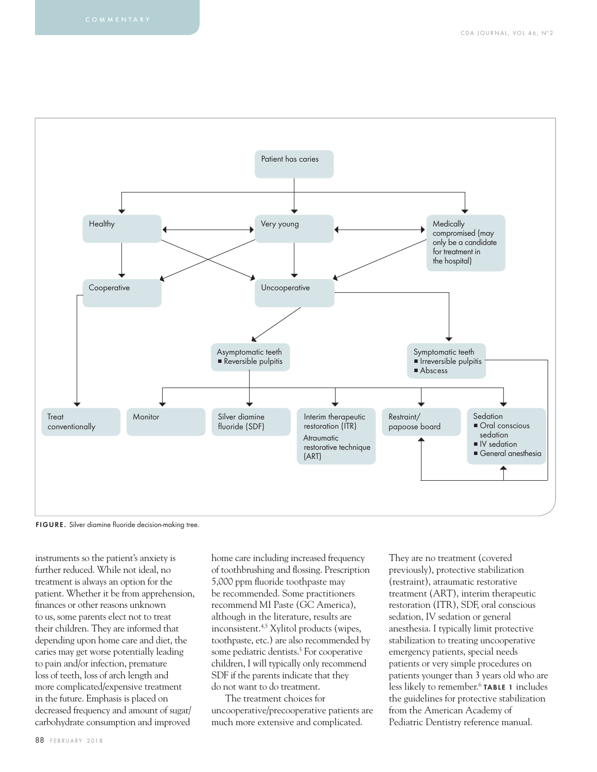

FIGURE. Silver diamine fluoride decision-making tree.

instruments so the patient's anxiety is further reduced. While not ideal, no treatment is always an option for the patient. Whether it be from apprehension, finances or other reasons unknown to us, some parents elect not to treat their children. They are informed that depending upon home care and diet, the caries may get worse potentially leading to pain and/or infection, premature loss of teeth, loss of arch length and more complicated/expensive treatment in the future. Emphasis is placed on decreased frequency and amount of sugar/ carbohydrate consumption and improved

home care including increased frequency of toothbrushing and flossing. Prescription 5,000 ppm fluoride toothpaste may be recommended. Some practitioners recommend MI Paste (GC America), although in the literature, results are inconsistent.4,5 Xylitol products (wipes, toothpaste, etc.) are also recommended by some pediatric dentists.<sup>5</sup> For cooperative children, I will typically only recommend SDF if the parents indicate that they do not want to do treatment.

The treatment choices for uncooperative/precooperative patients are much more extensive and complicated.

They are no treatment (covered previously), protective stabilization (restraint), atraumatic restorative treatment (ART), interim therapeutic restoration (ITR), SDF, oral conscious sedation, IV sedation or general anesthesia. I typically limit protective stabilization to treating uncooperative emergency patients, special needs patients or very simple procedures on patients younger than 3 years old who are less likely to remember.<sup>6</sup> TABLE 1 includes the guidelines for protective stabilization from the American Academy of Pediatric Dentistry reference manual.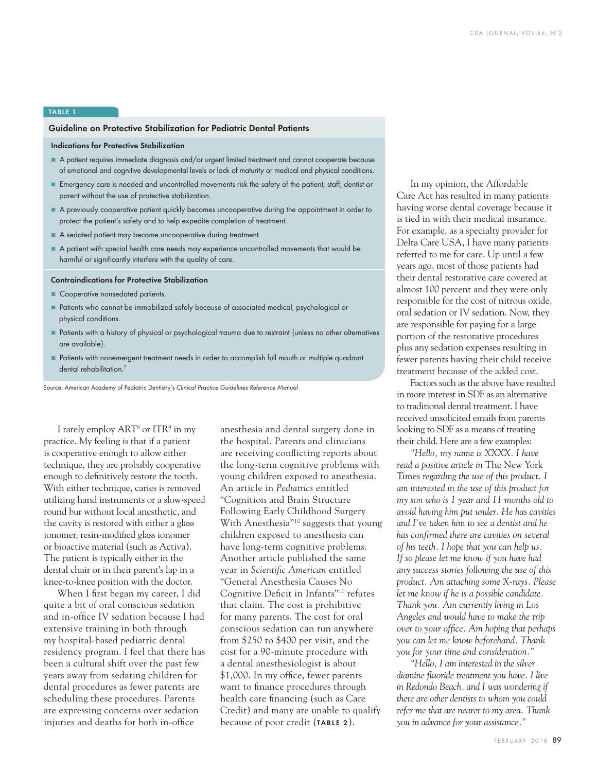## TABLE 1

## Guideline on Protective Stabilization for Pediatric Dental Patients

## Indications for Protective Stabilization

- A patient requires immediate diagnosis and/or urgent limited treatment and cannot cooperate because of emotional and cognitive developmental levels or lack of maturity or medical and physical conditions.
- Emergency care is needed and uncontrolled movements risk the safety of the patient, staff, dentist or parent without the use of protective stabilization.
- A previously cooperative patient quickly becomes uncooperative during the appointment in order to protect the patient's safety and to help expedite completion of treatment.
- A sedated patient may become uncooperative during treatment.
- A patient with special health care needs may experience uncontrolled movements that would be harmful or significantly interfere with the quality of care.

#### Contraindications for Protective Stabilization

- Cooperative nonsedated patients.
- Patients who cannot be immobilized safely because of associated medical, psychological or  physical conditions.
- Patients with a history of physical or psychological trauma due to restraint (unless no other alternatives are available).
- Patients with nonemergent treatment needs in order to accomplish full mouth or multiple quadrant dental rehabilitation.<sup>7</sup>

Source: American Academy of Pediatric Dentistry's Clinical Practice Guidelines Reference Manual

I rarely employ ART<sup>8</sup> or ITR<sup>9</sup> in my practice. My feeling is that if a patient is cooperative enough to allow either technique, they are probably cooperative enough to definitively restore the tooth. With either technique, caries is removed utilizing hand instruments or a slow-speed round bur without local anesthetic, and the cavity is restored with either a glass ionomer, resin-modified glass ionomer or bioactive material (such as Activa). The patient is typically either in the dental chair or in their parent's lap in a knee-to-knee position with the doctor.

When I first began my career, I did quite a bit of oral conscious sedation and in-office IV sedation because I had extensive training in both through my hospital-based pediatric dental residency program. I feel that there has been a cultural shift over the past few years away from sedating children for dental procedures as fewer parents are scheduling these procedures. Parents are expressing concerns over sedation injuries and deaths for both in-office

anesthesia and dental surgery done in the hospital. Parents and clinicians are receiving conflicting reports about the long-term cognitive problems with young children exposed to anesthesia. An article in *Pediatrics* entitled "Cognition and Brain Structure Following Early Childhood Surgery With Anesthesia"10 suggests that young children exposed to anesthesia can have long-term cognitive problems. Another article published the same year in *Scientific American* entitled "General Anesthesia Causes No Cognitive Deficit in Infants"<sup>11</sup> refutes that claim. The cost is prohibitive for many parents. The cost for oral conscious sedation can run anywhere from \$250 to \$400 per visit, and the cost for a 90-minute procedure with a dental anesthesiologist is about \$1,000. In my office, fewer parents want to finance procedures through health care financing (such as Care Credit) and many are unable to qualify because of poor credit (TABLE 2).

In my opinion, the Affordable Care Act has resulted in many patients having worse dental coverage because it is tied in with their medical insurance. For example, as a specialty provider for Delta Care USA, I have many patients referred to me for care. Up until a few years ago, most of those patients had their dental restorative care covered at almost 100 percent and they were only responsible for the cost of nitrous oxide, oral sedation or IV sedation. Now, they are responsible for paying for a large portion of the restorative procedures plus any sedation expenses resulting in fewer parents having their child receive treatment because of the added cost.

Factors such as the above have resulted in more interest in SDF as an alternative to traditional dental treatment. I have received unsolicited emails from parents looking to SDF as a means of treating their child. Here are a few examples:

*"Hello, my name is XXXX. I have read a positive article in* The New York Times *regarding the use of this product. I am interested in the use of this product for my son who is 1 year and 11 months old to avoid having him put under. He has cavities and I've taken him to see a dentist and he*  has confirmed there are cavities on several *of his teeth. I hope that you can help us. If so please let me know if you have had any success stories following the use of this product. Am attaching some X-rays. Please let me know if he is a possible candidate. Thank you. Am currently living in Los Angeles and would have to make the trip over to your office. Am hoping that perhaps you can let me know beforehand. Thank you for your time and consideration."*

*"Hello, I am interested in the silver diamine fl uoride treatment you have. I live in Redondo Beach, and I was wondering if there are other dentists to whom you could refer me that are nearer to my area. Thank you in advance for your assistance."*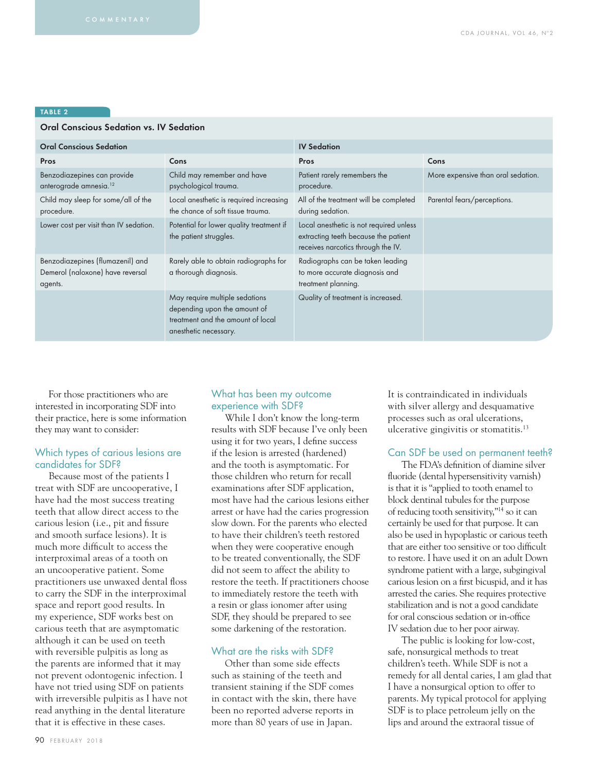## TABLE 2

## Oral Conscious Sedation vs. IV Sedation

| <b>Oral Conscious Sedation</b>                                                  |                                                                                                                              | <b>IV Sedation</b>                                                                                                    |                                    |
|---------------------------------------------------------------------------------|------------------------------------------------------------------------------------------------------------------------------|-----------------------------------------------------------------------------------------------------------------------|------------------------------------|
| Pros                                                                            | Cons                                                                                                                         | Pros                                                                                                                  | Cons                               |
| Benzodiazepines can provide<br>anterograde amnesia. <sup>12</sup>               | Child may remember and have<br>psychological trauma.                                                                         | Patient rarely remembers the<br>procedure.                                                                            | More expensive than oral sedation. |
| Child may sleep for some/all of the<br>procedure.                               | Local anesthetic is required increasing<br>the chance of soft tissue trauma.                                                 | All of the treatment will be completed<br>during sedation.                                                            | Parental fears/perceptions.        |
| Lower cost per visit than IV sedation.                                          | Potential for lower quality treatment if<br>the patient struggles.                                                           | Local anesthetic is not required unless<br>extracting teeth because the patient<br>receives narcotics through the IV. |                                    |
| Benzodiazepines (flumazenil) and<br>Demerol (naloxone) have reversal<br>agents. | Rarely able to obtain radiographs for<br>a thorough diagnosis.                                                               | Radiographs can be taken leading<br>to more accurate diagnosis and<br>treatment planning.                             |                                    |
|                                                                                 | May require multiple sedations<br>depending upon the amount of<br>treatment and the amount of local<br>anesthetic necessary. | Quality of treatment is increased.                                                                                    |                                    |

For those practitioners who are interested in incorporating SDF into their practice, here is some information they may want to consider:

# Which types of carious lesions are candidates for SDF?

Because most of the patients I treat with SDF are uncooperative, I have had the most success treating teeth that allow direct access to the carious lesion (i.e., pit and fissure and smooth surface lesions). It is much more difficult to access the interproximal areas of a tooth on an uncooperative patient. Some practitioners use unwaxed dental floss to carry the SDF in the interproximal space and report good results. In my experience, SDF works best on carious teeth that are asymptomatic although it can be used on teeth with reversible pulpitis as long as the parents are informed that it may not prevent odontogenic infection. I have not tried using SDF on patients with irreversible pulpitis as I have not read anything in the dental literature that it is effective in these cases.

# What has been my outcome experience with SDF?

While I don't know the long-term results with SDF because I've only been using it for two years, I define success if the lesion is arrested (hardened) and the tooth is asymptomatic. For those children who return for recall examinations after SDF application, most have had the carious lesions either arrest or have had the caries progression slow down. For the parents who elected to have their children's teeth restored when they were cooperative enough to be treated conventionally, the SDF did not seem to affect the ability to restore the teeth. If practitioners choose to immediately restore the teeth with a resin or glass ionomer after using SDF, they should be prepared to see some darkening of the restoration.

## What are the risks with SDF?

Other than some side effects such as staining of the teeth and transient staining if the SDF comes in contact with the skin, there have been no reported adverse reports in more than 80 years of use in Japan.

It is contraindicated in individuals with silver allergy and desquamative processes such as oral ulcerations, ulcerative gingivitis or stomatitis.13

## Can SDF be used on permanent teeth?

The FDA's definition of diamine silver fluoride (dental hypersensitivity varnish) is that it is "applied to tooth enamel to block dentinal tubules for the purpose of reducing tooth sensitivity,"14 so it can certainly be used for that purpose. It can also be used in hypoplastic or carious teeth that are either too sensitive or too difficult to restore. I have used it on an adult Down syndrome patient with a large, subgingival carious lesion on a first bicuspid, and it has arrested the caries. She requires protective stabilization and is not a good candidate for oral conscious sedation or in-office IV sedation due to her poor airway.

The public is looking for low-cost, safe, nonsurgical methods to treat children's teeth. While SDF is not a remedy for all dental caries, I am glad that I have a nonsurgical option to offer to parents. My typical protocol for applying SDF is to place petroleum jelly on the lips and around the extraoral tissue of